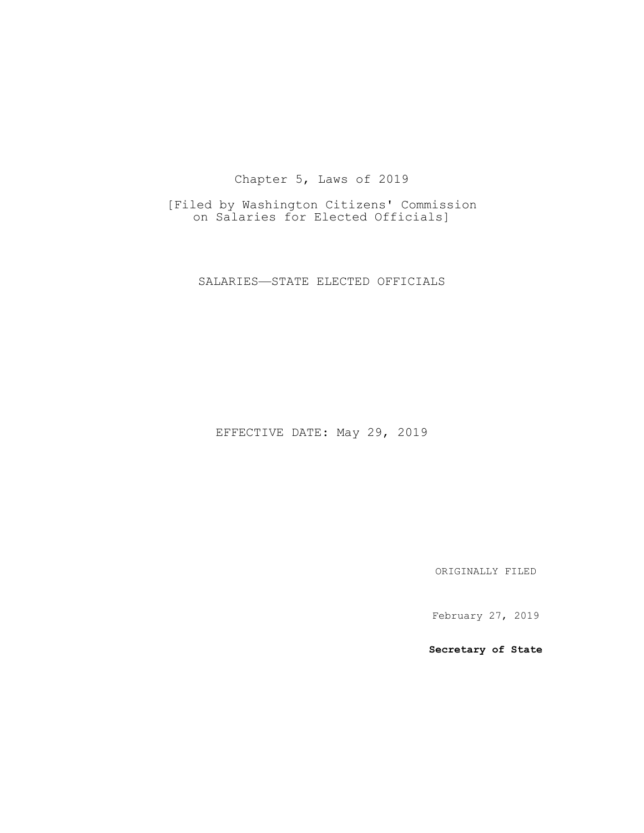## Chapter 5, Laws of 2019

[Filed by Washington Citizens' Commission on Salaries for Elected Officials]

## SALARIES—STATE ELECTED OFFICIALS

EFFECTIVE DATE: May 29, 2019

ORIGINALLY FILED

February 27, 2019

**Secretary of State**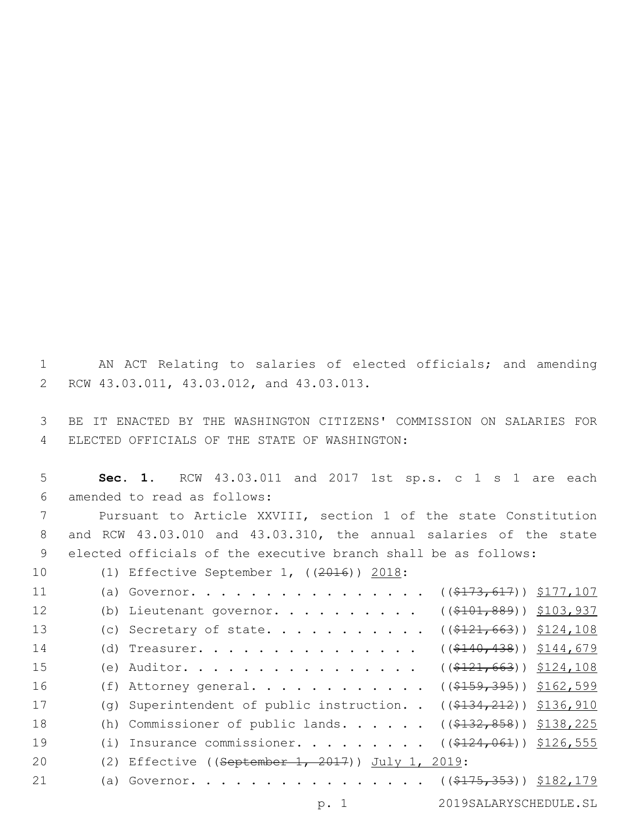1 AN ACT Relating to salaries of elected officials; and amending RCW 43.03.011, 43.03.012, and 43.03.013.2

3 BE IT ENACTED BY THE WASHINGTON CITIZENS' COMMISSION ON SALARIES FOR ELECTED OFFICIALS OF THE STATE OF WASHINGTON:4

5 **Sec. 1.** RCW 43.03.011 and 2017 1st sp.s. c 1 s 1 are each 6 amended to read as follows:

7 Pursuant to Article XXVIII, section 1 of the state Constitution 8 and RCW 43.03.010 and 43.03.310, the annual salaries of the state 9 elected officials of the executive branch shall be as follows:

10 (1) Effective September 1, ((2016)) 2018: 11 (a) Governor. . . . . . . . . . . . . . . (  $(\frac{173,617}{107})$ 12 (b) Lieutenant governor. . . . . . . . . . ((\$101,889)) \$103,937 13 (c) Secretary of state. . . . . . . . . . ((\$121,663)) \$124,108 14 (d) Treasurer. . . . . . . . . . . . . . (  $(\frac{2140, 438}{120, 438})$  \$144,679

15 (e) Auditor. . . . . . . . . . . . . . . (  $(\frac{121}{663})$   $\frac{124,108}{108}$ 16 (f) Attorney general. . . . . . . . . . . ((\$159,395)) \$162,599 17 (g) Superintendent of public instruction. . ((\$134,212)) \$136,910 18 (h) Commissioner of public lands. . . . . ((\$132,858)) \$138,225 19 (i) Insurance commissioner. . . . . . . . ((\$124,061)) \$126,555 20 (2) Effective ((<del>September 1, 2017</del>)) July 1, 2019: 21 (a) Governor. . . . . . . . . . . . . . . (  $(\frac{175}{175}, \frac{353}{19})$   $\frac{5182}{179}$ 

p. 1 2019SALARYSCHEDULE.SL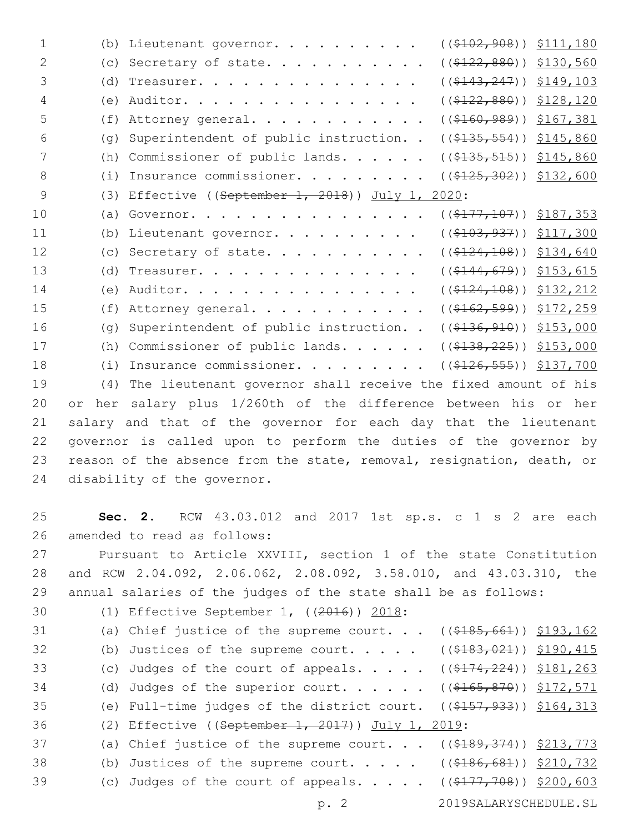| $\mathbf 1$    |            | $((\$102, 908))$ $$111, 180$<br>(b) Lieutenant governor.                                    |
|----------------|------------|---------------------------------------------------------------------------------------------|
| 2              | (C)        | $((\$122,880))$ $$130,560$<br>Secretary of state.                                           |
| 3              | (d)        | $( ( $143, 247) )$ $ $149, 103$<br>Treasurer.                                               |
| $\overline{4}$ | (e)        | $((\$122, 880))$ $$128, 120$<br>Auditor.                                                    |
| 5              | (f)        | $((\$160, 989))$ $$167, 381$<br>Attorney general.                                           |
| 6              | (q)        | Superintendent of public instruction<br>$($ (\$135,554)) $$145,860$                         |
| 7              | (h)        | Commissioner of public lands.<br>$((\$135, 515))$ \$145,860                                 |
| 8              | (i)        | Insurance commissioner.<br>$((\$125, 302))$ $$132, 600$                                     |
| 9              | (3)        | Effective ((September 1, 2018)) July 1, 2020:                                               |
| 10             | (a)        | $((\frac{2177}{107}) \frac{107}{107})$<br>Governor.                                         |
| 11             | (b)        | $((\$103, 937))$ $$117, 300$<br>Lieutenant governor.                                        |
| 12             | (C)        | $((\$124,108))$ \$134,640<br>Secretary of state.                                            |
| 13             | (d)        | $($ (\$144,679)) \$153,615<br>Treasurer.                                                    |
| 14             | (e)        | Auditor.<br>$((\$124,108))$ $$132,212$                                                      |
| 15             | (f)        | $($ (\$162,599)) $$172,259$<br>Attorney general.                                            |
| 16             | (q)        | Superintendent of public instruction<br>$((\$136, 910))$ \$153,000                          |
| 17             | (h)        | Commissioner of public lands.<br>$($ (\$138,225)) \$153,000                                 |
| 18             | (i)        | Insurance commissioner.<br>$($ (\$126,555)) \$137,700                                       |
| 19             | (4)        | The lieutenant governor shall receive the fixed amount of his                               |
| 20             | her<br>or. | salary plus 1/260th of the difference between his or her                                    |
| 21             |            | salary and that of the governor for each day that the lieutenant                            |
| 22             |            | governor is called upon to perform the duties of the governor by                            |
| 23             |            | reason of the absence from the state, removal, resignation, death, or                       |
| 24             |            | disability of the governor.                                                                 |
| 25             |            | Sec. 2. RCW 43.03.012 and 2017 1st sp.s. c 1 s 2 are each                                   |
| 26             |            | amended to read as follows:                                                                 |
| 27             |            | Pursuant to Article XXVIII, section 1 of the state Constitution                             |
| 28             |            | and RCW 2.04.092, 2.06.062, 2.08.092, 3.58.010, and 43.03.310, the                          |
| 29             |            | annual salaries of the judges of the state shall be as follows:                             |
| 30             |            | (1) Effective September 1, $((2016))$ 2018:                                                 |
| 31             |            | (a) Chief justice of the supreme court. $((\$185,661))$ \$193,162                           |
| 32             |            | (b) Justices of the supreme court. $($ $($ $\frac{2183}{1021})$ $\frac{2190}{115}$          |
| 33             |            | (c) Judges of the court of appeals. $($ $(*174, 224)$ $)$ $$181, 263$                       |
| 34             |            | (d) Judges of the superior court. ( $(\frac{\$165}{67870})$ ) $\frac{\$172}{671}$           |
| 35             |            | (e) Full-time judges of the district court. $((\frac{257}{7}, \frac{933}{9}))$ \$164,313    |
| 36             |            | (2) Effective (( $S$ eptember 1, 2017)) July 1, 2019:                                       |
| 37             |            | (a) Chief justice of the supreme court. $((\$189,374))$ \$213,773                           |
| 38             |            | (b) Justices of the supreme court. $($ $($ $\frac{2186}{600}$ $684)$ $)$ $\frac{5210}{732}$ |
| 39             |            | (c) Judges of the court of appeals. $($ $($ $\frac{200,603}{2})$                            |

p. 2 2019SALARYSCHEDULE.SL